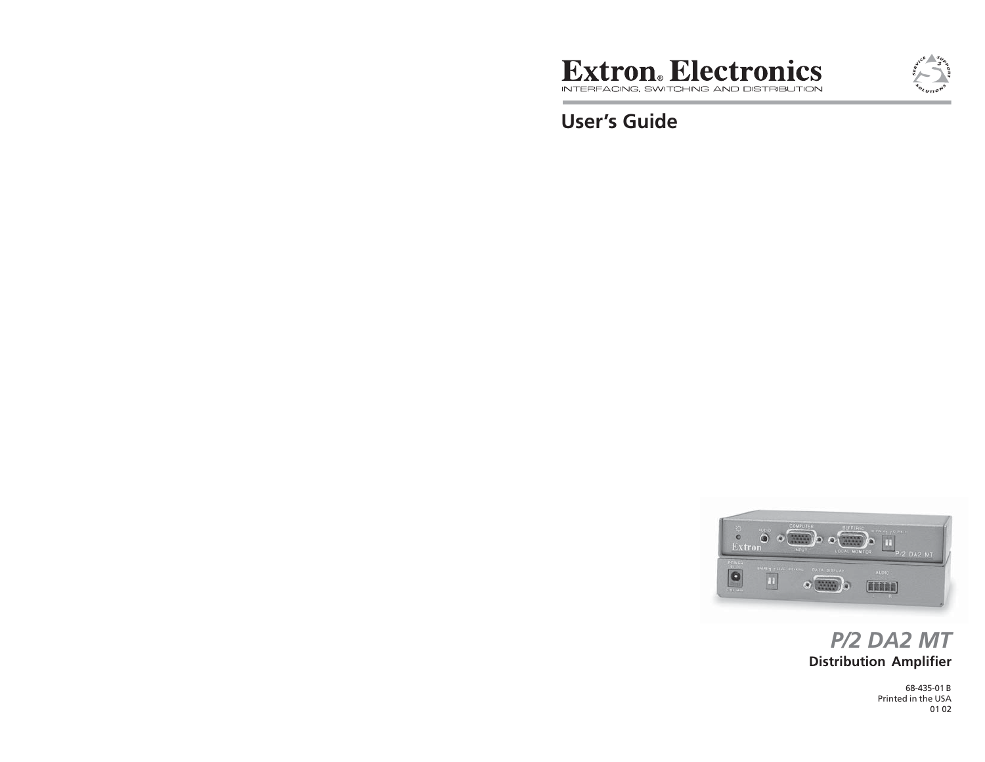

**User's Guide**



# **Distribution Amplifier** *P/2 DA2 MT*

68-435-01 B Printed in the USA01 02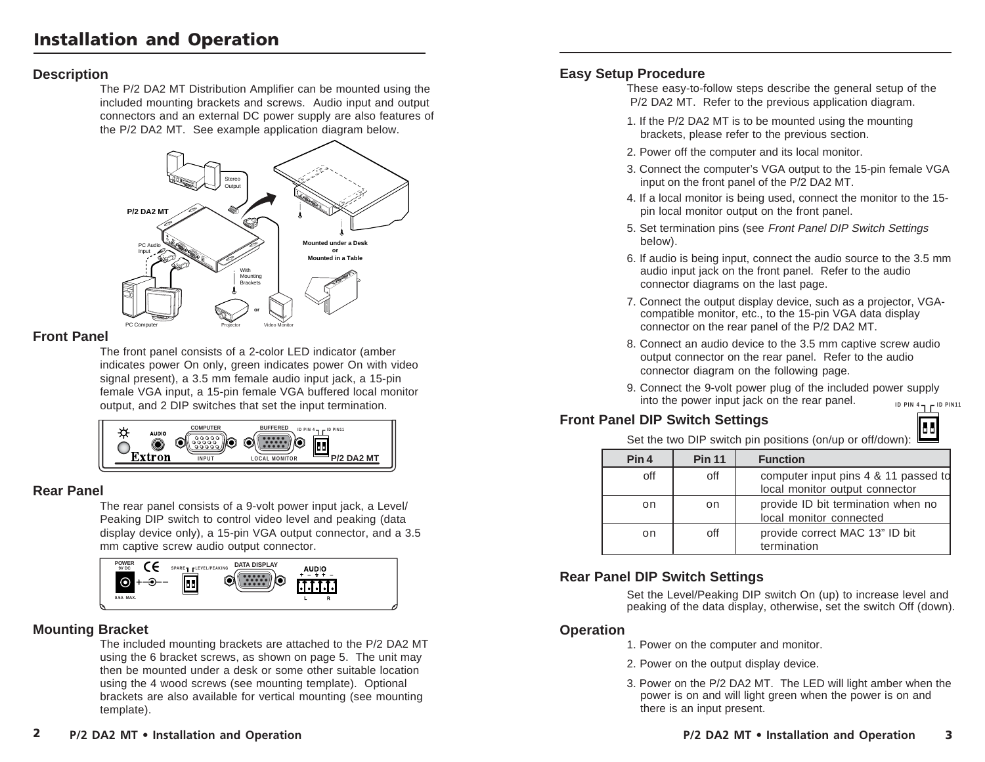### **Description**

The P/2 DA2 MT Distribution Amplifier can be mounted using the included mounting brackets and screws. Audio input and output connectors and an external DC power supply are also features of the P/2 DA2 MT. See example application diagram below.



### **Front Panel**

The front panel consists of a 2-color LED indicator (amber indicates power On only, green indicates power On with video signal present), a 3.5 mm female audio input jack, a 15-pin female VGA input, a 15-pin female VGA buffered local monitor output, and 2 DIP switches that set the input termination.



### **Rear Panel**

The rear panel consists of a 9-volt power input jack, a Level/ Peaking DIP switch to control video level and peaking (data display device only), a 15-pin VGA output connector, and a 3.5 mm captive screw audio output connector.



# **Mounting Bracket**

The included mounting brackets are attached to the P/2 DA2 MT using the 6 bracket screws, as shown on page 5. The unit may then be mounted under a desk or some other suitable location using the 4 wood screws (see mounting template). Optional brackets are also available for vertical mounting (see mounting template).

These easy-to-follow steps describe the general setup of the P/2 DA2 MT. Refer to the previous application diagram.

- 1. If the P/2 DA2 MT is to be mounted using the mounting brackets, please refer to the previous section.
- 2. Power off the computer and its local monitor.
- 3. Connect the computer's VGA output to the 15-pin female VGA input on the front panel of the P/2 DA2 MT.
- 4. If a local monitor is being used, connect the monitor to the 15 pin local monitor output on the front panel.
- 5. Set termination pins (see Front Panel DIP Switch Settings below).
- 6. If audio is being input, connect the audio source to the 3.5 mm audio input jack on the front panel. Refer to the audio connector diagrams on the last page.
- 7. Connect the output display device, such as a projector, VGAcompatible monitor, etc., to the 15-pin VGA data display connector on the rear panel of the P/2 DA2 MT.
- 8. Connect an audio device to the 3.5 mm captive screw audio output connector on the rear panel. Refer to the audio connector diagram on the following page.
- **ID PIN 4 ID PIN11** 9. Connect the 9-volt power plug of the included power supply into the power input jack on the rear panel.

55

# **Front Panel DIP Switch Settings**

Set the two DIP switch pin positions (on/up or off/down):

| Pin 4 | <b>Pin 11</b> | <b>Function</b>                                                        |
|-------|---------------|------------------------------------------------------------------------|
| off   | off           | computer input pins 4 & 11 passed to<br>local monitor output connector |
| on    | on            | provide ID bit termination when no<br>local monitor connected          |
| on    | off           | provide correct MAC 13" ID bit<br>termination                          |

# **Rear Panel DIP Switch Settings**

Set the Level/Peaking DIP switch On (up) to increase level and peaking of the data display, otherwise, set the switch Off (down).

### **Operation**

- 1. Power on the computer and monitor.
- 2. Power on the output display device.
- 3. Power on the P/2 DA2 MT. The LED will light amber when the power is on and will light green when the power is on and there is an input present.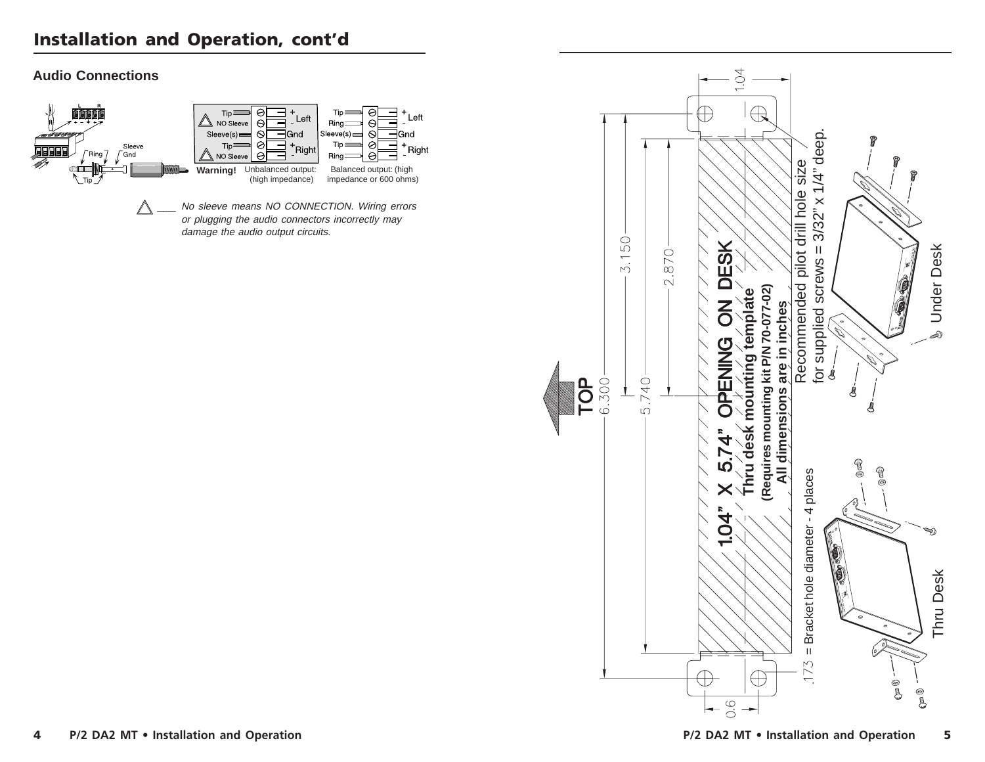# **Installation and Operation, cont'd**

### **Audio Connections**



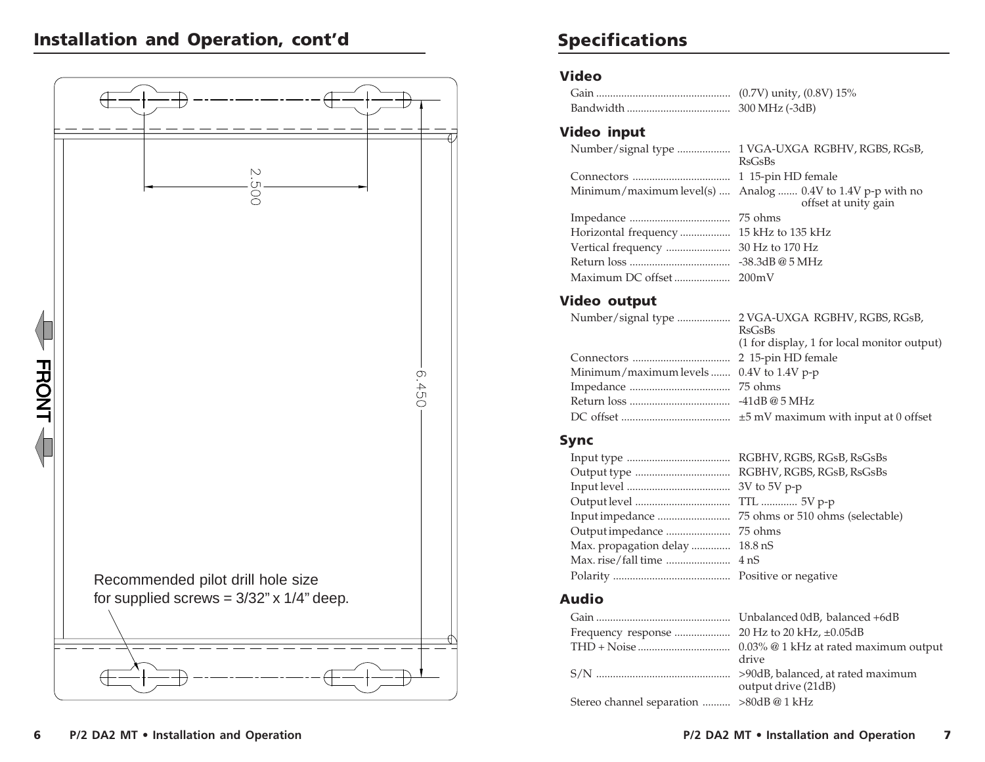# **Installation and Operation, cont'd**



# **Specifications**

### **Video**

| 300 MHz (-3dB) |
|----------------|

### **Video input**

| Number/signal type  1 VGA-UXGA RGBHV, RGBS, RGsB,<br>RsGsBs                        |
|------------------------------------------------------------------------------------|
|                                                                                    |
| Minimum/maximum level(s)  Analog  0.4V to 1.4V p-p with no<br>offset at unity gain |
|                                                                                    |
|                                                                                    |
|                                                                                    |
|                                                                                    |
|                                                                                    |
|                                                                                    |

# **Video output**

Number/signal type ................... 2 VGA-UXGA RGBHV, RGBS, RGsB, RsGsBs (1 for display, 1 for local monitor output) Connectors ................................... 2 15-pin HD female Minimum/maximum levels ....... 0.4V to 1.4V p-p Impedance .................................... 75 ohms Return loss .................................... -41dB @ 5 MHzDC offset ....................................... ±5 mV maximum with input at 0 offset

### **Sync**

| Max. propagation delay  18.8 nS |  |
|---------------------------------|--|
|                                 |  |
|                                 |  |
|                                 |  |

### **Audio**

|                                        | drive               |
|----------------------------------------|---------------------|
|                                        | output drive (21dB) |
| Stereo channel separation  >80dB@1 kHz |                     |